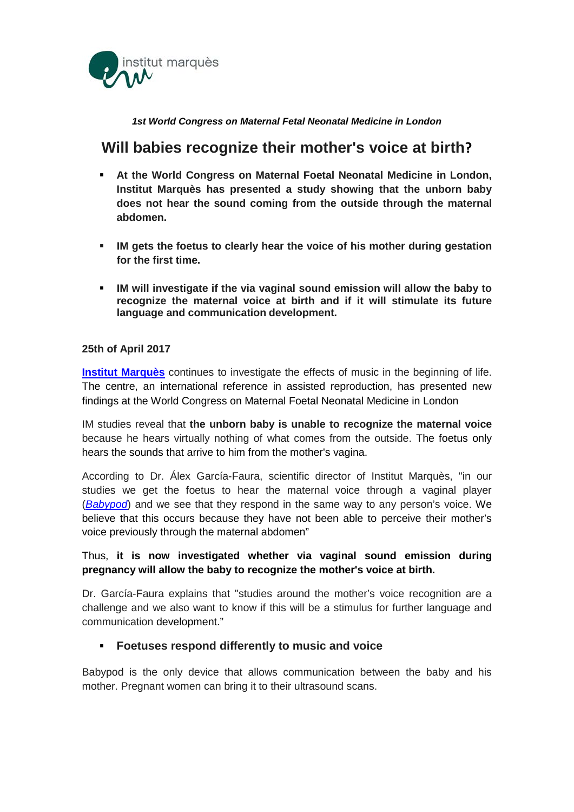

# *1st World Congress on Maternal Fetal Neonatal Medicine in London*

# **Will babies recognize their mother's voice at birth?**

- **At the World Congress on Maternal Foetal Neonatal Medicine in London, Institut Marquès has presented a study showing that the unborn baby does not hear the sound coming from the outside through the maternal abdomen.**
- **IM gets the foetus to clearly hear the voice of his mother during gestation for the first time.**
- **IM will investigate if the via vaginal sound emission will allow the baby to recognize the maternal voice at birth and if it will stimulate its future language and communication development.**

# **25th of April 2017**

**[Institut Marquès](http://www.institutomarques.com/)** continues to investigate the effects of music in the beginning of life. The centre, an international reference in assisted reproduction, has presented new findings at the World Congress on Maternal Foetal Neonatal Medicine in London

IM studies reveal that **the unborn baby is unable to recognize the maternal voice** because he hears virtually nothing of what comes from the outside. The foetus only hears the sounds that arrive to him from the mother's vagina.

According to Dr. Álex García-Faura, scientific director of Institut Marquès, "in our studies we get the foetus to hear the maternal voice through a vaginal player (*[Babypod](http://www.babypod.net/)*) and we see that they respond in the same way to any person's voice. We believe that this occurs because they have not been able to perceive their mother's voice previously through the maternal abdomen"

# Thus, **it is now investigated whether via vaginal sound emission during pregnancy will allow the baby to recognize the mother's voice at birth.**

Dr. García-Faura explains that "studies around the mother's voice recognition are a challenge and we also want to know if this will be a stimulus for further language and communication development."

# **Foetuses respond differently to music and voice**

Babypod is the only device that allows communication between the baby and his mother. Pregnant women can bring it to their ultrasound scans.